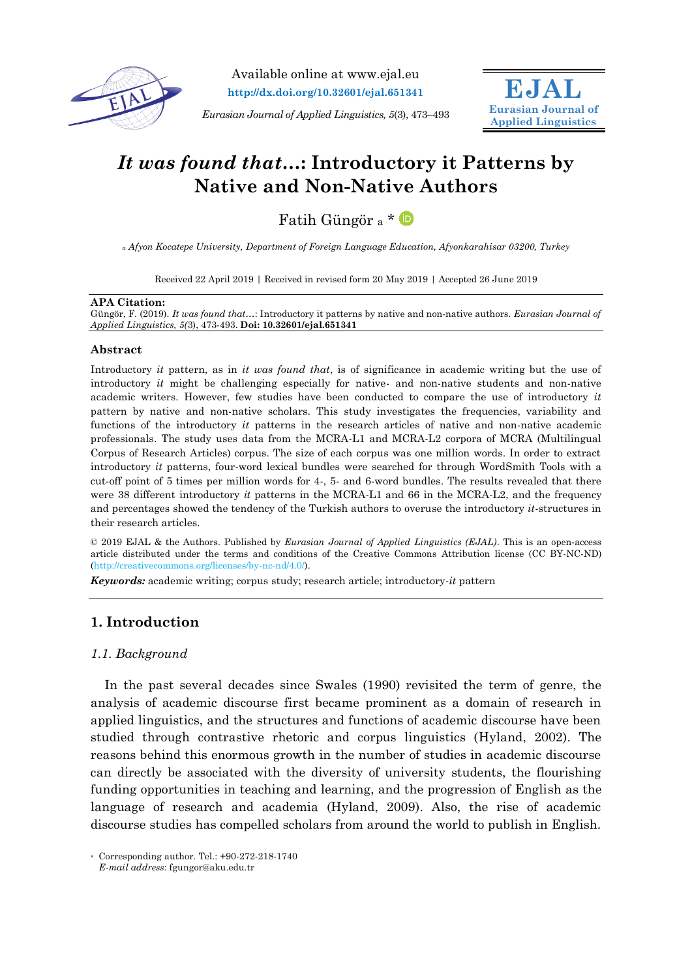

Available online at www.ejal.eu **http://dx.doi.org/10.32601/ejal.651341**

*Eurasian Journal of Applied Linguistics, 5*(3), 473–493



# *It was found that…***: Introductory it Patterns by Native and Non-Native Authors**

Fatih Güngör <sup>a</sup> \*

*<sup>a</sup> Afyon Kocatepe University, Department of Foreign Language Education, Afyonkarahisar 03200, Turkey*

Received 22 April 2019 | Received in revised form 20 May 2019 | Accepted 26 June 2019

#### **APA Citation:**

Güngör, F. (2019). *It was found that…*: Introductory it patterns by native and non-native authors. *Eurasian Journal of Applied Linguistics, 5(*3), 473-493. **Doi: 10.32601/ejal.651341**

## **Abstract**

Introductory *it* pattern, as in *it was found that*, is of significance in academic writing but the use of introductory *it* might be challenging especially for native- and non-native students and non-native academic writers. However, few studies have been conducted to compare the use of introductory *it* pattern by native and non-native scholars. This study investigates the frequencies, variability and functions of the introductory *it* patterns in the research articles of native and non-native academic professionals. The study uses data from the MCRA-L1 and MCRA-L2 corpora of MCRA (Multilingual Corpus of Research Articles) corpus. The size of each corpus was one million words. In order to extract introductory *it* patterns, four-word lexical bundles were searched for through WordSmith Tools with a cut-off point of 5 times per million words for 4-, 5- and 6-word bundles. The results revealed that there were 38 different introductory *it* patterns in the MCRA-L1 and 66 in the MCRA-L2, and the frequency and percentages showed the tendency of the Turkish authors to overuse the introductory *it*-structures in their research articles.

© 2019 EJAL & the Authors. Published by *Eurasian Journal of Applied Linguistics (EJAL)*. This is an open-access article distributed under the terms and conditions of the Creative Commons Attribution license (CC BY-NC-ND) (http://creativecommons.org/licenses/by-nc-nd/4.0/).

*Keywords:* academic writing; corpus study; research article; introductory-*it* pattern

# **1. Introduction**

## *1.1. Background*

In the past several decades since Swales (1990) revisited the term of genre, the analysis of academic discourse first became prominent as a domain of research in applied linguistics, and the structures and functions of academic discourse have been studied through contrastive rhetoric and corpus linguistics (Hyland, 2002). The reasons behind this enormous growth in the number of studies in academic discourse can directly be associated with the diversity of university students, the flourishing funding opportunities in teaching and learning, and the progression of English as the language of research and academia (Hyland, 2009). Also, the rise of academic discourse studies has compelled scholars from around the world to publish in English.

<sup>\*</sup> Corresponding author. Tel.: +90-272-218-1740 *E-mail address*: fgungor@aku.edu.tr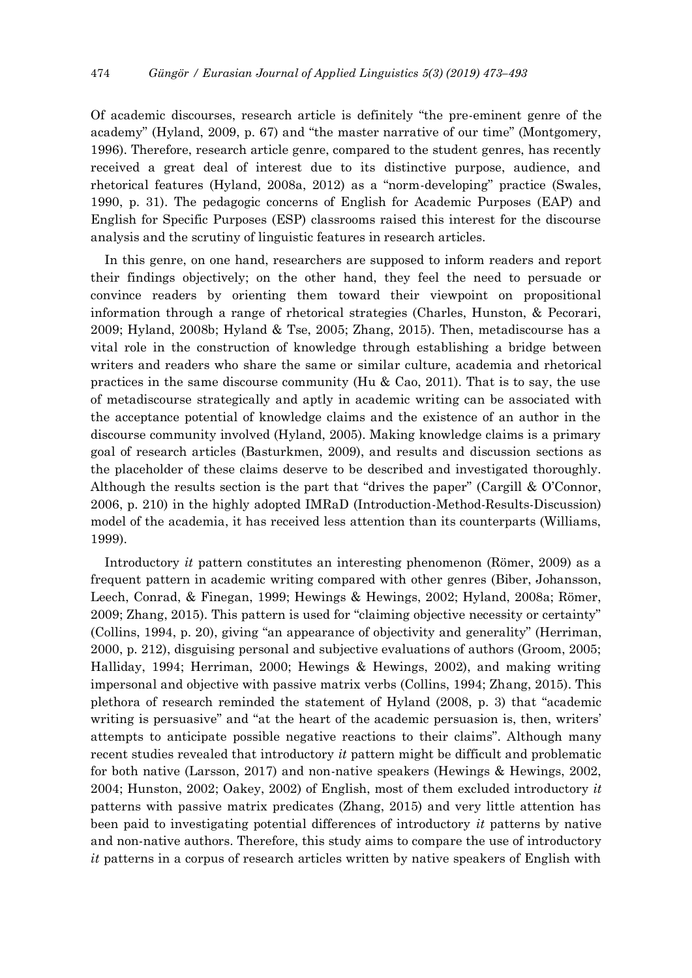Of academic discourses, research article is definitely "the pre-eminent genre of the academy" (Hyland, 2009, p. 67) and "the master narrative of our time" (Montgomery, 1996). Therefore, research article genre, compared to the student genres, has recently received a great deal of interest due to its distinctive purpose, audience, and rhetorical features (Hyland, 2008a, 2012) as a "norm-developing" practice (Swales, 1990, p. 31). The pedagogic concerns of English for Academic Purposes (EAP) and English for Specific Purposes (ESP) classrooms raised this interest for the discourse analysis and the scrutiny of linguistic features in research articles.

In this genre, on one hand, researchers are supposed to inform readers and report their findings objectively; on the other hand, they feel the need to persuade or convince readers by orienting them toward their viewpoint on propositional information through a range of rhetorical strategies (Charles, Hunston, & Pecorari, 2009; Hyland, 2008b; Hyland & Tse, 2005; Zhang, 2015). Then, metadiscourse has a vital role in the construction of knowledge through establishing a bridge between writers and readers who share the same or similar culture, academia and rhetorical practices in the same discourse community (Hu  $\&$  Cao, 2011). That is to say, the use of metadiscourse strategically and aptly in academic writing can be associated with the acceptance potential of knowledge claims and the existence of an author in the discourse community involved (Hyland, 2005). Making knowledge claims is a primary goal of research articles (Basturkmen, 2009), and results and discussion sections as the placeholder of these claims deserve to be described and investigated thoroughly. Although the results section is the part that "drives the paper" (Cargill & O'Connor, 2006, p. 210) in the highly adopted IMRaD (Introduction-Method-Results-Discussion) model of the academia, it has received less attention than its counterparts (Williams, 1999).

Introductory *it* pattern constitutes an interesting phenomenon (Römer, 2009) as a frequent pattern in academic writing compared with other genres (Biber, Johansson, Leech, Conrad, & Finegan, 1999; Hewings & Hewings, 2002; Hyland, 2008a; Römer, 2009; Zhang, 2015). This pattern is used for "claiming objective necessity or certainty" (Collins, 1994, p. 20), giving "an appearance of objectivity and generality" (Herriman, 2000, p. 212), disguising personal and subjective evaluations of authors (Groom, 2005; Halliday, 1994; Herriman, 2000; Hewings & Hewings, 2002), and making writing impersonal and objective with passive matrix verbs (Collins, 1994; Zhang, 2015). This plethora of research reminded the statement of Hyland (2008, p. 3) that "academic writing is persuasive" and "at the heart of the academic persuasion is, then, writers' attempts to anticipate possible negative reactions to their claims". Although many recent studies revealed that introductory *it* pattern might be difficult and problematic for both native (Larsson, 2017) and non-native speakers (Hewings & Hewings, 2002, 2004; Hunston, 2002; Oakey, 2002) of English, most of them excluded introductory *it* patterns with passive matrix predicates (Zhang, 2015) and very little attention has been paid to investigating potential differences of introductory *it* patterns by native and non-native authors. Therefore, this study aims to compare the use of introductory *it* patterns in a corpus of research articles written by native speakers of English with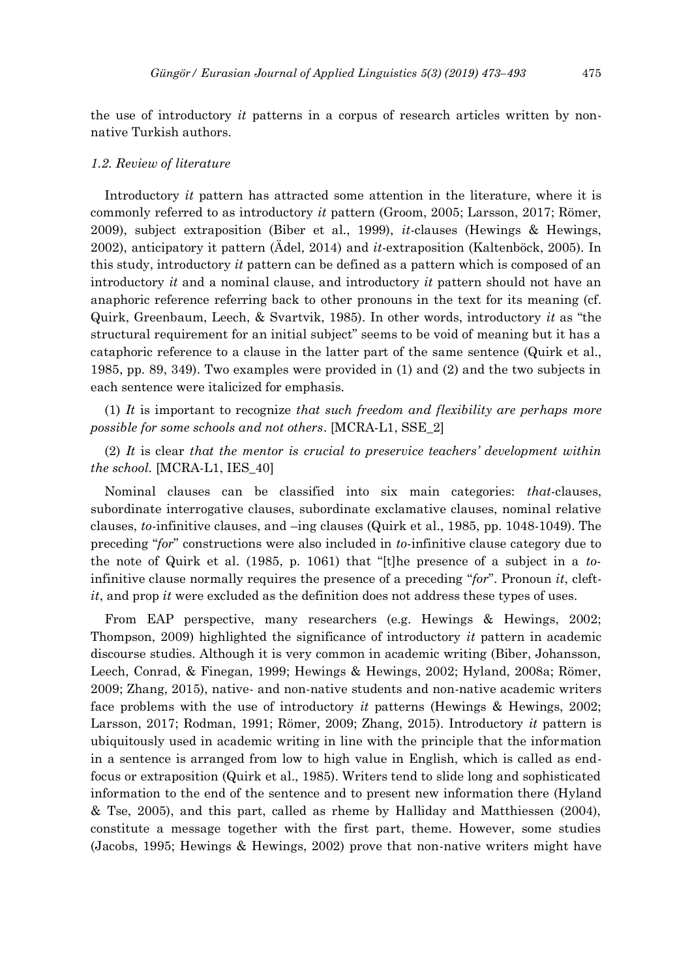the use of introductory *it* patterns in a corpus of research articles written by nonnative Turkish authors.

#### *1.2. Review of literature*

Introductory *it* pattern has attracted some attention in the literature, where it is commonly referred to as introductory *it* pattern (Groom, 2005; Larsson, 2017; Römer, 2009), subject extraposition (Biber et al., 1999), *it*-clauses (Hewings & Hewings, 2002), anticipatory it pattern (Ädel, 2014) and *it*-extraposition (Kaltenböck, 2005). In this study, introductory *it* pattern can be defined as a pattern which is composed of an introductory *it* and a nominal clause, and introductory *it* pattern should not have an anaphoric reference referring back to other pronouns in the text for its meaning (cf. Quirk, Greenbaum, Leech, & Svartvik, 1985). In other words, introductory *it* as "the structural requirement for an initial subject" seems to be void of meaning but it has a cataphoric reference to a clause in the latter part of the same sentence (Quirk et al., 1985, pp. 89, 349). Two examples were provided in (1) and (2) and the two subjects in each sentence were italicized for emphasis.

(1) *It* is important to recognize *that such freedom and flexibility are perhaps more possible for some schools and not others*. [MCRA-L1, SSE\_2]

(2) *It* is clear *that the mentor is crucial to preservice teachers' development within the school.* [MCRA-L1, IES\_40]

Nominal clauses can be classified into six main categories: *that*-clauses, subordinate interrogative clauses, subordinate exclamative clauses, nominal relative clauses, *to*-infinitive clauses, and –ing clauses (Quirk et al., 1985, pp. 1048-1049). The preceding "*for*" constructions were also included in *to*-infinitive clause category due to the note of Quirk et al. (1985, p. 1061) that "[t]he presence of a subject in a *to*infinitive clause normally requires the presence of a preceding "*for*". Pronoun *it*, cleft*it*, and prop *it* were excluded as the definition does not address these types of uses.

From EAP perspective, many researchers (e.g. Hewings & Hewings, 2002; Thompson, 2009) highlighted the significance of introductory *it* pattern in academic discourse studies. Although it is very common in academic writing (Biber, Johansson, Leech, Conrad, & Finegan, 1999; Hewings & Hewings, 2002; Hyland, 2008a; Römer, 2009; Zhang, 2015), native- and non-native students and non-native academic writers face problems with the use of introductory *it* patterns (Hewings & Hewings, 2002; Larsson, 2017; Rodman, 1991; Römer, 2009; Zhang, 2015). Introductory *it* pattern is ubiquitously used in academic writing in line with the principle that the information in a sentence is arranged from low to high value in English, which is called as endfocus or extraposition (Quirk et al., 1985). Writers tend to slide long and sophisticated information to the end of the sentence and to present new information there (Hyland & Tse, 2005), and this part, called as rheme by Halliday and Matthiessen (2004), constitute a message together with the first part, theme. However, some studies (Jacobs, 1995; Hewings & Hewings, 2002) prove that non-native writers might have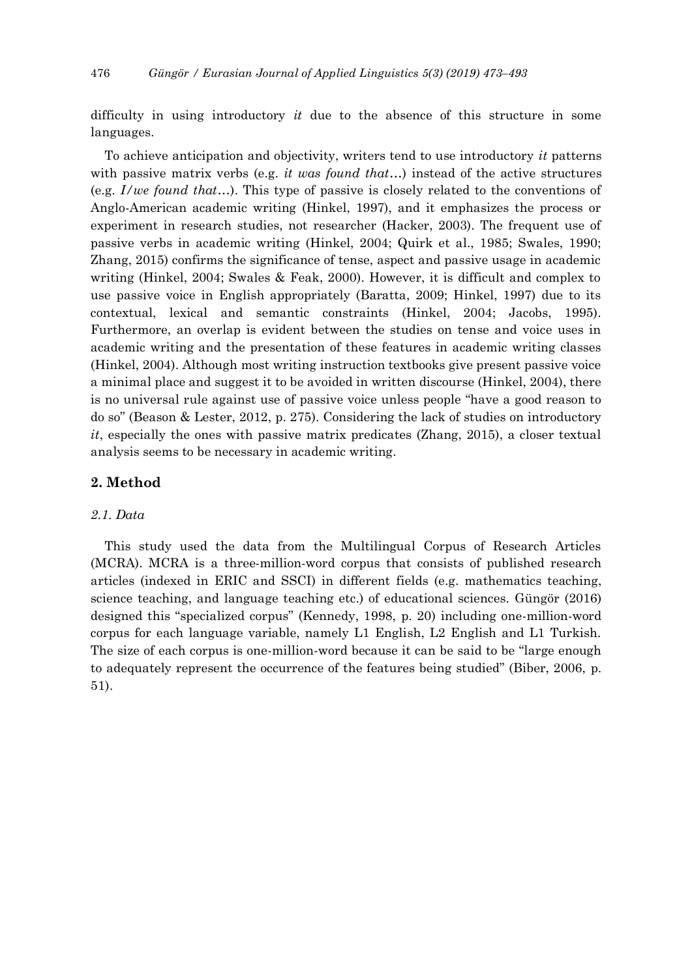difficulty in using introductory *it* due to the absence of this structure in some languages.

To achieve anticipation and objectivity, writers tend to use introductory *it* patterns with passive matrix verbs (e.g. *it was found that*…) instead of the active structures (e.g. *I/we found that*…). This type of passive is closely related to the conventions of Anglo-American academic writing (Hinkel, 1997), and it emphasizes the process or experiment in research studies, not researcher (Hacker, 2003). The frequent use of passive verbs in academic writing (Hinkel, 2004; Quirk et al., 1985; Swales, 1990; Zhang, 2015) confirms the significance of tense, aspect and passive usage in academic writing (Hinkel, 2004; Swales & Feak, 2000). However, it is difficult and complex to use passive voice in English appropriately (Baratta, 2009; Hinkel, 1997) due to its contextual, lexical and semantic constraints (Hinkel, 2004; Jacobs, 1995). Furthermore, an overlap is evident between the studies on tense and voice uses in academic writing and the presentation of these features in academic writing classes (Hinkel, 2004). Although most writing instruction textbooks give present passive voice a minimal place and suggest it to be avoided in written discourse (Hinkel, 2004), there is no universal rule against use of passive voice unless people "have a good reason to do so" (Beason & Lester, 2012, p. 275). Considering the lack of studies on introductory *it*, especially the ones with passive matrix predicates (Zhang, 2015), a closer textual analysis seems to be necessary in academic writing.

## **2. Method**

## *2.1. Data*

This study used the data from the Multilingual Corpus of Research Articles (MCRA). MCRA is a three-million-word corpus that consists of published research articles (indexed in ERIC and SSCI) in different fields (e.g. mathematics teaching, science teaching, and language teaching etc.) of educational sciences. Güngör (2016) designed this "specialized corpus" (Kennedy, 1998, p. 20) including one-million-word corpus for each language variable, namely L1 English, L2 English and L1 Turkish. The size of each corpus is one-million-word because it can be said to be "large enough to adequately represent the occurrence of the features being studied" (Biber, 2006, p. 51).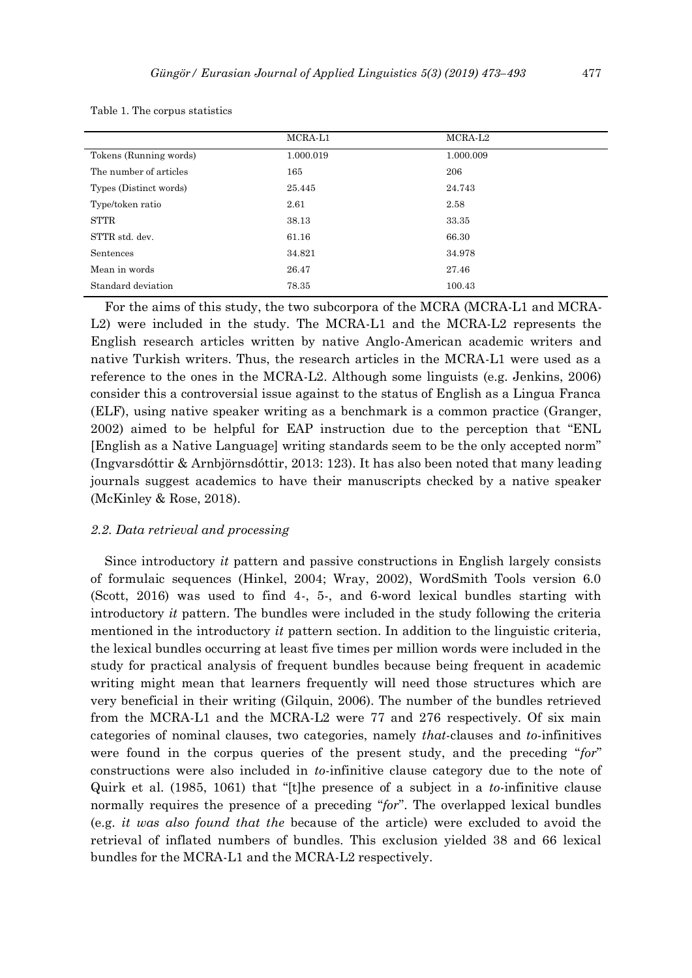|                        | MCRA-L1   | MCRA-L <sub>2</sub> |
|------------------------|-----------|---------------------|
| Tokens (Running words) | 1.000.019 | 1.000.009           |
| The number of articles | 165       | 206                 |
| Types (Distinct words) | 25.445    | 24.743              |
| Type/token ratio       | 2.61      | 2.58                |
| STTR                   | 38.13     | 33.35               |
| STTR std. dev.         | 61.16     | 66.30               |
| Sentences              | 34.821    | 34.978              |
| Mean in words          | 26.47     | 27.46               |
| Standard deviation     | 78.35     | 100.43              |

Table 1. The corpus statistics

For the aims of this study, the two subcorpora of the MCRA (MCRA-L1 and MCRA-L2) were included in the study. The MCRA-L1 and the MCRA-L2 represents the English research articles written by native Anglo-American academic writers and native Turkish writers. Thus, the research articles in the MCRA-L1 were used as a reference to the ones in the MCRA-L2. Although some linguists (e.g. Jenkins, 2006) consider this a controversial issue against to the status of English as a Lingua Franca (ELF), using native speaker writing as a benchmark is a common practice (Granger, 2002) aimed to be helpful for EAP instruction due to the perception that "ENL [English as a Native Language] writing standards seem to be the only accepted norm" (Ingvarsdóttir & Arnbjörnsdóttir, 2013: 123). It has also been noted that many leading journals suggest academics to have their manuscripts checked by a native speaker (McKinley & Rose, 2018).

## *2.2. Data retrieval and processing*

Since introductory *it* pattern and passive constructions in English largely consists of formulaic sequences (Hinkel, 2004; Wray, 2002), WordSmith Tools version 6.0 (Scott, 2016) was used to find 4-, 5-, and 6-word lexical bundles starting with introductory *it* pattern. The bundles were included in the study following the criteria mentioned in the introductory *it* pattern section. In addition to the linguistic criteria, the lexical bundles occurring at least five times per million words were included in the study for practical analysis of frequent bundles because being frequent in academic writing might mean that learners frequently will need those structures which are very beneficial in their writing (Gilquin, 2006). The number of the bundles retrieved from the MCRA-L1 and the MCRA-L2 were 77 and 276 respectively. Of six main categories of nominal clauses, two categories, namely *that*-clauses and *to*-infinitives were found in the corpus queries of the present study, and the preceding "*for*" constructions were also included in *to*-infinitive clause category due to the note of Quirk et al. (1985, 1061) that "[t]he presence of a subject in a *to*-infinitive clause normally requires the presence of a preceding "*for*". The overlapped lexical bundles (e.g. *it was also found that the* because of the article) were excluded to avoid the retrieval of inflated numbers of bundles. This exclusion yielded 38 and 66 lexical bundles for the MCRA-L1 and the MCRA-L2 respectively.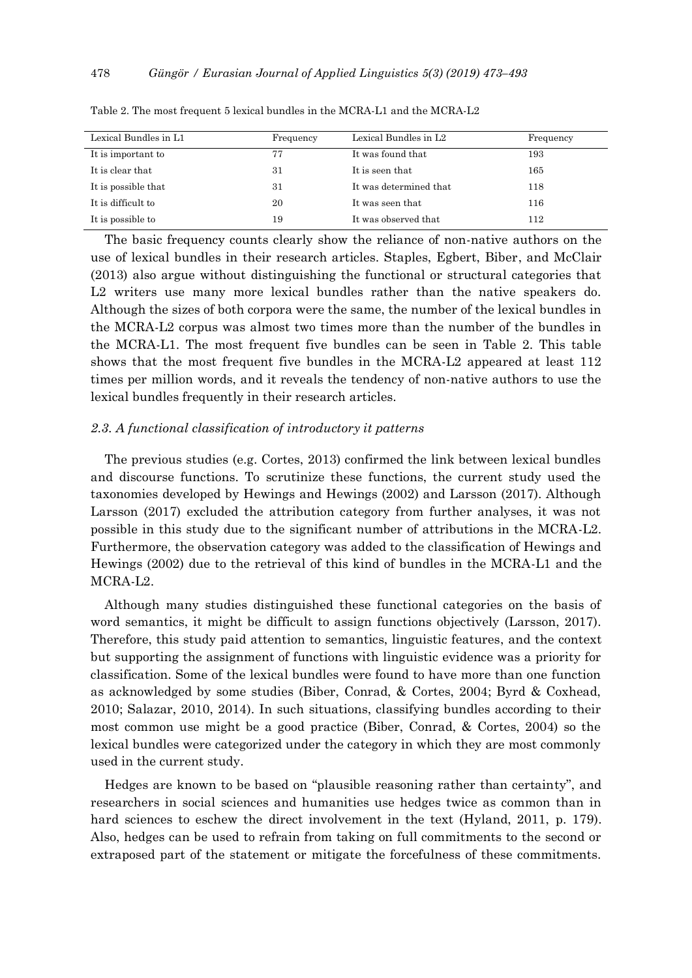| Lexical Bundles in L1 | Frequency | Lexical Bundles in L2  | Frequency |
|-----------------------|-----------|------------------------|-----------|
| It is important to    | 77        | It was found that      | 193       |
| It is clear that      | 31        | It is seen that        | 165       |
| It is possible that   | 31        | It was determined that | 118       |
| It is difficult to    | 20        | It was seen that       | 116       |
| It is possible to     | 19        | It was observed that   | 112       |

Table 2. The most frequent 5 lexical bundles in the MCRA-L1 and the MCRA-L2

The basic frequency counts clearly show the reliance of non-native authors on the use of lexical bundles in their research articles. Staples, Egbert, Biber, and McClair (2013) also argue without distinguishing the functional or structural categories that L2 writers use many more lexical bundles rather than the native speakers do. Although the sizes of both corpora were the same, the number of the lexical bundles in the MCRA-L2 corpus was almost two times more than the number of the bundles in the MCRA-L1. The most frequent five bundles can be seen in Table 2. This table shows that the most frequent five bundles in the MCRA-L2 appeared at least 112 times per million words, and it reveals the tendency of non-native authors to use the lexical bundles frequently in their research articles.

## *2.3. A functional classification of introductory it patterns*

The previous studies (e.g. Cortes, 2013) confirmed the link between lexical bundles and discourse functions. To scrutinize these functions, the current study used the taxonomies developed by Hewings and Hewings (2002) and Larsson (2017). Although Larsson (2017) excluded the attribution category from further analyses, it was not possible in this study due to the significant number of attributions in the MCRA-L2. Furthermore, the observation category was added to the classification of Hewings and Hewings (2002) due to the retrieval of this kind of bundles in the MCRA-L1 and the MCRA-L2.

Although many studies distinguished these functional categories on the basis of word semantics, it might be difficult to assign functions objectively (Larsson, 2017). Therefore, this study paid attention to semantics, linguistic features, and the context but supporting the assignment of functions with linguistic evidence was a priority for classification. Some of the lexical bundles were found to have more than one function as acknowledged by some studies (Biber, Conrad, & Cortes, 2004; Byrd & Coxhead, 2010; Salazar, 2010, 2014). In such situations, classifying bundles according to their most common use might be a good practice (Biber, Conrad, & Cortes, 2004) so the lexical bundles were categorized under the category in which they are most commonly used in the current study.

Hedges are known to be based on "plausible reasoning rather than certainty", and researchers in social sciences and humanities use hedges twice as common than in hard sciences to eschew the direct involvement in the text (Hyland, 2011, p. 179). Also, hedges can be used to refrain from taking on full commitments to the second or extraposed part of the statement or mitigate the forcefulness of these commitments.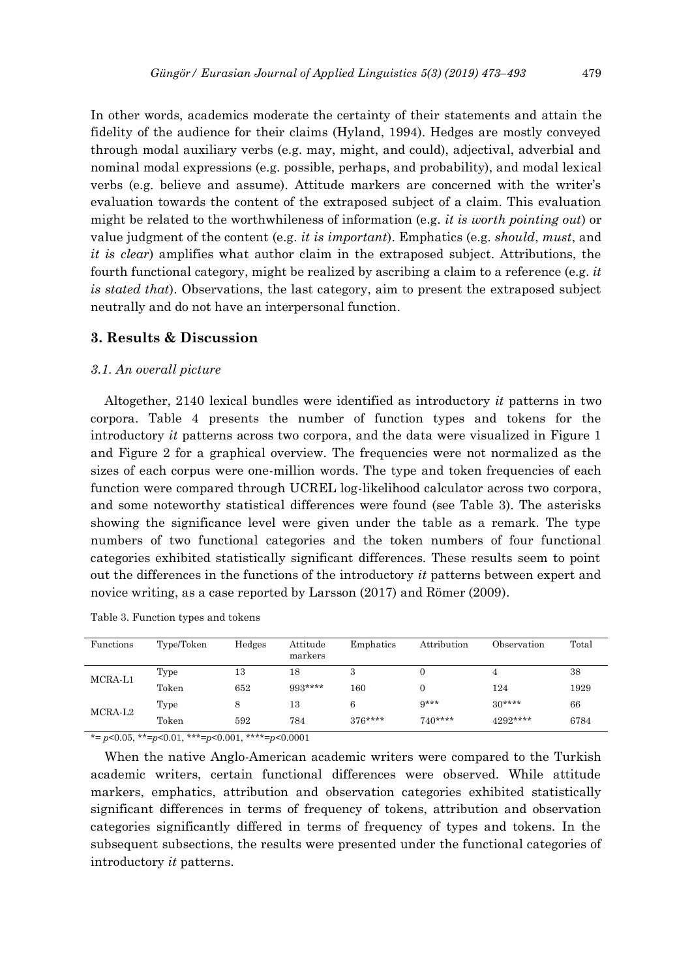In other words, academics moderate the certainty of their statements and attain the fidelity of the audience for their claims (Hyland, 1994). Hedges are mostly conveyed through modal auxiliary verbs (e.g. may, might, and could), adjectival, adverbial and nominal modal expressions (e.g. possible, perhaps, and probability), and modal lexical verbs (e.g. believe and assume). Attitude markers are concerned with the writer's evaluation towards the content of the extraposed subject of a claim. This evaluation might be related to the worthwhileness of information (e.g. *it is worth pointing out*) or value judgment of the content (e.g. *it is important*). Emphatics (e.g. *should*, *must*, and *it is clear*) amplifies what author claim in the extraposed subject. Attributions, the fourth functional category, might be realized by ascribing a claim to a reference (e.g. *it is stated that*). Observations, the last category, aim to present the extraposed subject neutrally and do not have an interpersonal function.

# **3. Results & Discussion**

## *3.1. An overall picture*

Altogether, 2140 lexical bundles were identified as introductory *it* patterns in two corpora. Table 4 presents the number of function types and tokens for the introductory *it* patterns across two corpora, and the data were visualized in Figure 1 and Figure 2 for a graphical overview. The frequencies were not normalized as the sizes of each corpus were one-million words. The type and token frequencies of each function were compared through UCREL log-likelihood calculator across two corpora, and some noteworthy statistical differences were found (see Table 3). The asterisks showing the significance level were given under the table as a remark. The type numbers of two functional categories and the token numbers of four functional categories exhibited statistically significant differences. These results seem to point out the differences in the functions of the introductory *it* patterns between expert and novice writing, as a case reported by Larsson (2017) and Römer (2009).

| Functions           | Type/Token | Hedges | Attitude<br>markers | Emphatics | Attribution | Observation | Total |
|---------------------|------------|--------|---------------------|-----------|-------------|-------------|-------|
| MCRA-L1             | Type       | 13     | 18                  | 3         |             |             | 38    |
|                     | Token      | 652    | 993****             | $160\,$   | $\Omega$    | 124         | 1929  |
| MCRA-L <sub>2</sub> | Type       |        | 13                  | 6         | $9***$      | $30***$     | 66    |
|                     | Token      | 592    | 784                 | $376***$  | $740***$    | 4292****    | 6784  |

Table 3. Function types and tokens

\*= *p*<0.05, \*\*=*p*<0.01, \*\*\*=*p*<0.001, \*\*\*\*=*p*<0.0001

When the native Anglo-American academic writers were compared to the Turkish academic writers, certain functional differences were observed. While attitude markers, emphatics, attribution and observation categories exhibited statistically significant differences in terms of frequency of tokens, attribution and observation categories significantly differed in terms of frequency of types and tokens. In the subsequent subsections, the results were presented under the functional categories of introductory *it* patterns.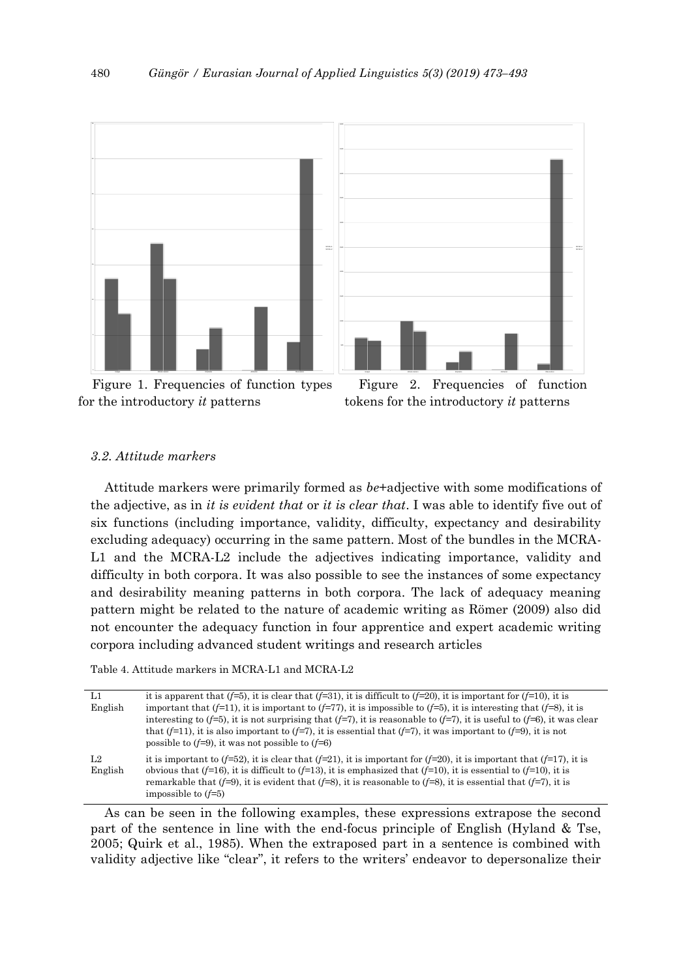

Figure 1. Frequencies of function types for the introductory *it* patterns



MCRA-L1 MCRAIN I

## *3.2. Attitude markers*

Attitude markers were primarily formed as *be*+adjective with some modifications of the adjective, as in *it is evident that* or *it is clear that*. I was able to identify five out of six functions (including importance, validity, difficulty, expectancy and desirability excluding adequacy) occurring in the same pattern. Most of the bundles in the MCRA-L1 and the MCRA-L2 include the adjectives indicating importance, validity and difficulty in both corpora. It was also possible to see the instances of some expectancy and desirability meaning patterns in both corpora. The lack of adequacy meaning pattern might be related to the nature of academic writing as Römer (2009) also did not encounter the adequacy function in four apprentice and expert academic writing corpora including advanced student writings and research articles

Table 4. Attitude markers in MCRA-L1 and MCRA-L2

| L1                        | it is apparent that $(f=5)$ , it is clear that $(f=31)$ , it is difficult to $(f=20)$ , it is important for $(f=10)$ , it is                                                                                                                                                                                                                                                               |
|---------------------------|--------------------------------------------------------------------------------------------------------------------------------------------------------------------------------------------------------------------------------------------------------------------------------------------------------------------------------------------------------------------------------------------|
| English                   | important that $(f=11)$ , it is important to $(f=77)$ , it is impossible to $(f=5)$ , it is interesting that $(f=8)$ , it is<br>interesting to (f=5), it is not surprising that (f=7), it is reasonable to (f=7), it is useful to (f=6), it was clear                                                                                                                                      |
|                           | that $(f=11)$ , it is also important to $(f=7)$ , it is essential that $(f=7)$ , it was important to $(f=9)$ , it is not<br>possible to $(f=9)$ , it was not possible to $(f=6)$                                                                                                                                                                                                           |
| L <sub>2</sub><br>English | it is important to $(f=52)$ , it is clear that $(f=21)$ , it is important for $(f=20)$ , it is important that $(f=17)$ , it is<br>obvious that (f=16), it is difficult to (f=13), it is emphasized that (f=10), it is essential to (f=10), it is<br>remarkable that (f=9), it is evident that (f=8), it is reasonable to (f=8), it is essential that (f=7), it is<br>impossible to $(f=5)$ |

As can be seen in the following examples, these expressions extrapose the second part of the sentence in line with the end-focus principle of English (Hyland & Tse, 2005; Quirk et al., 1985). When the extraposed part in a sentence is combined with validity adjective like "clear", it refers to the writers' endeavor to depersonalize their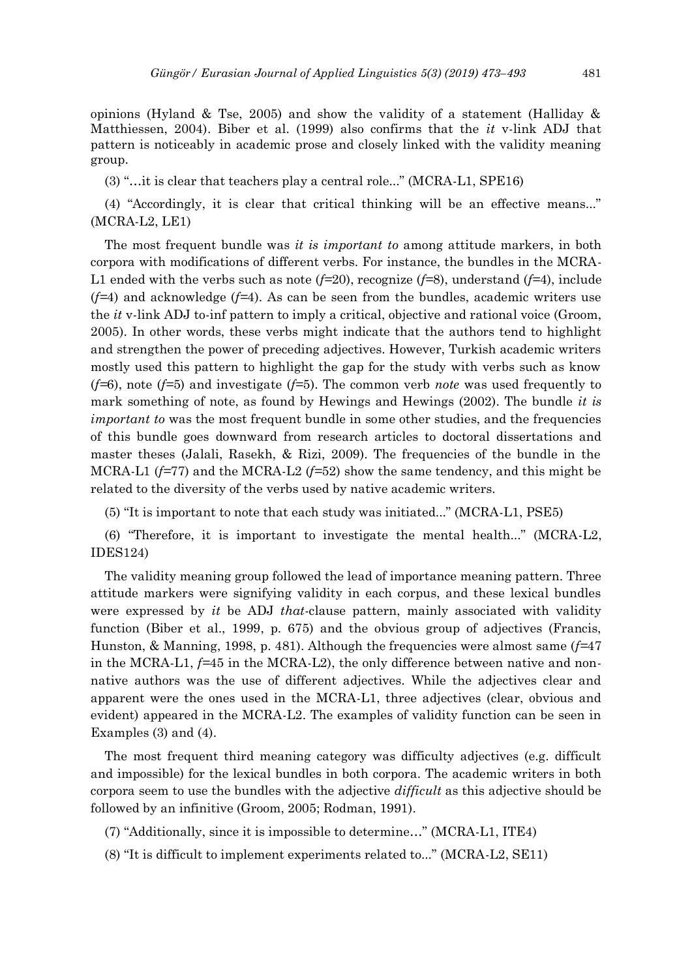opinions (Hyland & Tse, 2005) and show the validity of a statement (Halliday  $\&$ Matthiessen, 2004). Biber et al. (1999) also confirms that the *it* v-link ADJ that pattern is noticeably in academic prose and closely linked with the validity meaning group.

(3) "…it is clear that teachers play a central role..." (MCRA-L1, SPE16)

(4) "Accordingly, it is clear that critical thinking will be an effective means..." (MCRA-L2, LE1)

The most frequent bundle was *it is important to* among attitude markers, in both corpora with modifications of different verbs. For instance, the bundles in the MCRA-L1 ended with the verbs such as note (*f=*20), recognize (*f=*8), understand (*f=*4), include (*f=*4) and acknowledge (*f=*4). As can be seen from the bundles, academic writers use the *it* v-link ADJ to-inf pattern to imply a critical, objective and rational voice (Groom, 2005). In other words, these verbs might indicate that the authors tend to highlight and strengthen the power of preceding adjectives. However, Turkish academic writers mostly used this pattern to highlight the gap for the study with verbs such as know (*f=*6), note (*f=*5) and investigate (*f=*5). The common verb *note* was used frequently to mark something of note, as found by Hewings and Hewings (2002). The bundle *it is important to* was the most frequent bundle in some other studies, and the frequencies of this bundle goes downward from research articles to doctoral dissertations and master theses (Jalali, Rasekh, & Rizi, 2009). The frequencies of the bundle in the MCRA-L1 (*f=*77) and the MCRA-L2 (*f=*52) show the same tendency, and this might be related to the diversity of the verbs used by native academic writers.

(5) "It is important to note that each study was initiated..." (MCRA-L1, PSE5)

(6) "Therefore, it is important to investigate the mental health..." (MCRA-L2, IDES124)

The validity meaning group followed the lead of importance meaning pattern. Three attitude markers were signifying validity in each corpus, and these lexical bundles were expressed by *it* be ADJ *that*-clause pattern, mainly associated with validity function (Biber et al., 1999, p. 675) and the obvious group of adjectives (Francis, Hunston, & Manning, 1998, p. 481). Although the frequencies were almost same (*f=*47 in the MCRA-L1, *f=*45 in the MCRA-L2), the only difference between native and nonnative authors was the use of different adjectives. While the adjectives clear and apparent were the ones used in the MCRA-L1, three adjectives (clear, obvious and evident) appeared in the MCRA-L2. The examples of validity function can be seen in Examples (3) and (4).

The most frequent third meaning category was difficulty adjectives (e.g. difficult and impossible) for the lexical bundles in both corpora. The academic writers in both corpora seem to use the bundles with the adjective *difficult* as this adjective should be followed by an infinitive (Groom, 2005; Rodman, 1991).

- (7) "Additionally, since it is impossible to determine…" (MCRA-L1, ITE4)
- (8) "It is difficult to implement experiments related to..." (MCRA-L2, SE11)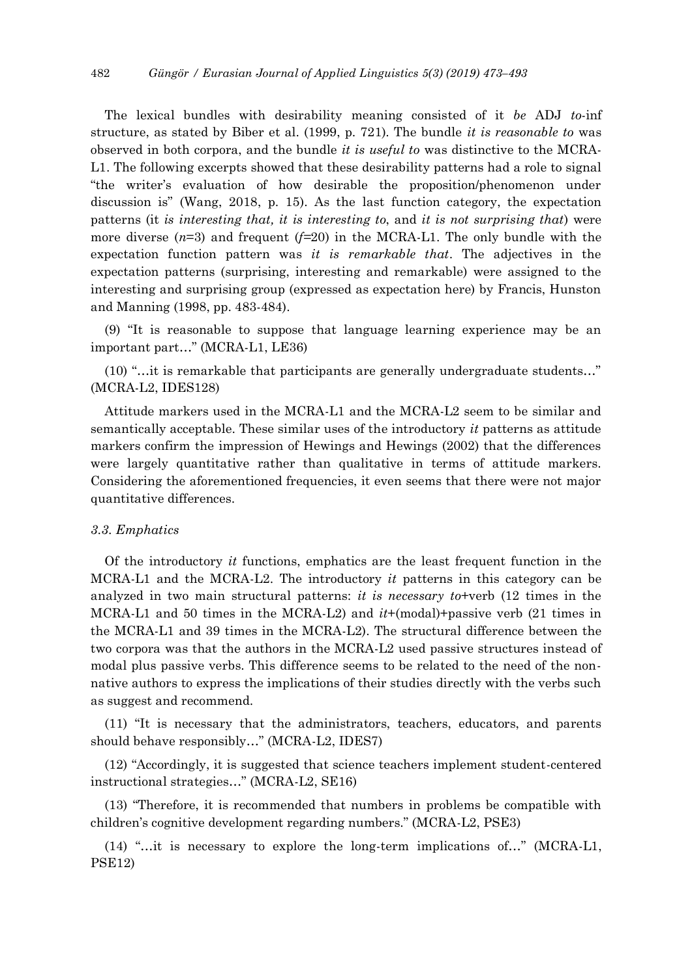The lexical bundles with desirability meaning consisted of it *be* ADJ *to*-inf structure, as stated by Biber et al. (1999, p. 721). The bundle *it is reasonable to* was observed in both corpora, and the bundle *it is useful to* was distinctive to the MCRA-L1. The following excerpts showed that these desirability patterns had a role to signal "the writer's evaluation of how desirable the proposition/phenomenon under discussion is" (Wang, 2018, p. 15). As the last function category, the expectation patterns (it *is interesting that, it is interesting to*, and *it is not surprising that*) were more diverse  $(n=3)$  and frequent  $(f=20)$  in the MCRA-L1. The only bundle with the expectation function pattern was *it is remarkable that*. The adjectives in the expectation patterns (surprising, interesting and remarkable) were assigned to the interesting and surprising group (expressed as expectation here) by Francis, Hunston and Manning (1998, pp. 483-484).

(9) "It is reasonable to suppose that language learning experience may be an important part…" (MCRA-L1, LE36)

(10) "…it is remarkable that participants are generally undergraduate students…" (MCRA-L2, IDES128)

Attitude markers used in the MCRA-L1 and the MCRA-L2 seem to be similar and semantically acceptable. These similar uses of the introductory *it* patterns as attitude markers confirm the impression of Hewings and Hewings (2002) that the differences were largely quantitative rather than qualitative in terms of attitude markers. Considering the aforementioned frequencies, it even seems that there were not major quantitative differences.

## *3.3. Emphatics*

Of the introductory *it* functions, emphatics are the least frequent function in the MCRA-L1 and the MCRA-L2. The introductory *it* patterns in this category can be analyzed in two main structural patterns: *it is necessary to*+verb (12 times in the MCRA-L1 and 50 times in the MCRA-L2) and *it*+(modal)+passive verb (21 times in the MCRA-L1 and 39 times in the MCRA-L2). The structural difference between the two corpora was that the authors in the MCRA-L2 used passive structures instead of modal plus passive verbs. This difference seems to be related to the need of the nonnative authors to express the implications of their studies directly with the verbs such as suggest and recommend.

(11) "It is necessary that the administrators, teachers, educators, and parents should behave responsibly…" (MCRA-L2, IDES7)

(12) "Accordingly, it is suggested that science teachers implement student-centered instructional strategies…" (MCRA-L2, SE16)

(13) "Therefore, it is recommended that numbers in problems be compatible with children's cognitive development regarding numbers." (MCRA-L2, PSE3)

(14) "…it is necessary to explore the long-term implications of…" (MCRA-L1, PSE12)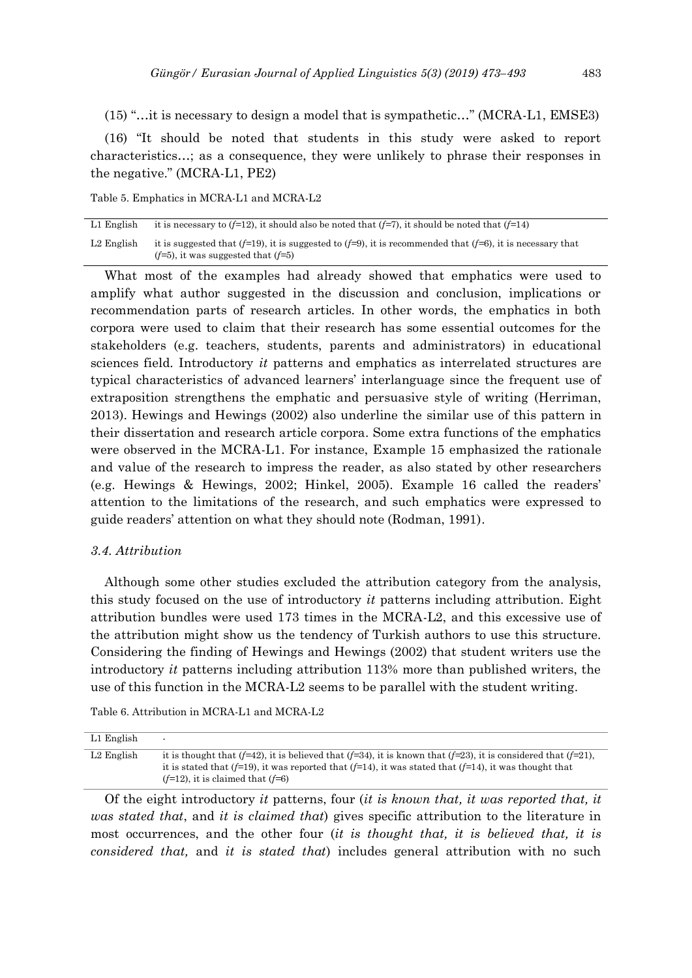(15) "…it is necessary to design a model that is sympathetic…" (MCRA-L1, EMSE3)

(16) "It should be noted that students in this study were asked to report characteristics…; as a consequence, they were unlikely to phrase their responses in the negative." (MCRA-L1, PE2)

Table 5. Emphatics in MCRA-L1 and MCRA-L2

| L1 English | it is necessary to ( $f=12$ ), it should also be noted that ( $f=7$ ), it should be noted that ( $f=14$ )                                                        |
|------------|------------------------------------------------------------------------------------------------------------------------------------------------------------------|
| L2 English | it is suggested that ( $f=19$ ), it is suggested to ( $f=9$ ), it is recommended that ( $f=6$ ), it is necessary that<br>$(f=5)$ , it was suggested that $(f=5)$ |

What most of the examples had already showed that emphatics were used to amplify what author suggested in the discussion and conclusion, implications or recommendation parts of research articles. In other words, the emphatics in both corpora were used to claim that their research has some essential outcomes for the stakeholders (e.g. teachers, students, parents and administrators) in educational sciences field. Introductory *it* patterns and emphatics as interrelated structures are typical characteristics of advanced learners' interlanguage since the frequent use of extraposition strengthens the emphatic and persuasive style of writing (Herriman, 2013). Hewings and Hewings (2002) also underline the similar use of this pattern in their dissertation and research article corpora. Some extra functions of the emphatics were observed in the MCRA-L1. For instance, Example 15 emphasized the rationale and value of the research to impress the reader, as also stated by other researchers (e.g. Hewings & Hewings, 2002; Hinkel, 2005). Example 16 called the readers' attention to the limitations of the research, and such emphatics were expressed to guide readers' attention on what they should note (Rodman, 1991).

## *3.4. Attribution*

Although some other studies excluded the attribution category from the analysis, this study focused on the use of introductory *it* patterns including attribution. Eight attribution bundles were used 173 times in the MCRA-L2, and this excessive use of the attribution might show us the tendency of Turkish authors to use this structure. Considering the finding of Hewings and Hewings (2002) that student writers use the introductory *it* patterns including attribution 113% more than published writers, the use of this function in the MCRA-L2 seems to be parallel with the student writing.

Table 6. Attribution in MCRA-L1 and MCRA-L2

| L1 English | $\overline{\phantom{a}}$                                                                                                                                                                                                                                                                |
|------------|-----------------------------------------------------------------------------------------------------------------------------------------------------------------------------------------------------------------------------------------------------------------------------------------|
| L2 English | it is thought that $(f=42)$ , it is believed that $(f=34)$ , it is known that $(f=23)$ , it is considered that $(f=21)$ ,<br>it is stated that ( $f=19$ ), it was reported that ( $f=14$ ), it was stated that ( $f=14$ ), it was thought that<br>$(f=12)$ , it is claimed that $(f=6)$ |

Of the eight introductory *it* patterns, four (*it is known that, it was reported that, it was stated that*, and *it is claimed that*) gives specific attribution to the literature in most occurrences, and the other four (*it is thought that, it is believed that, it is considered that,* and *it is stated that*) includes general attribution with no such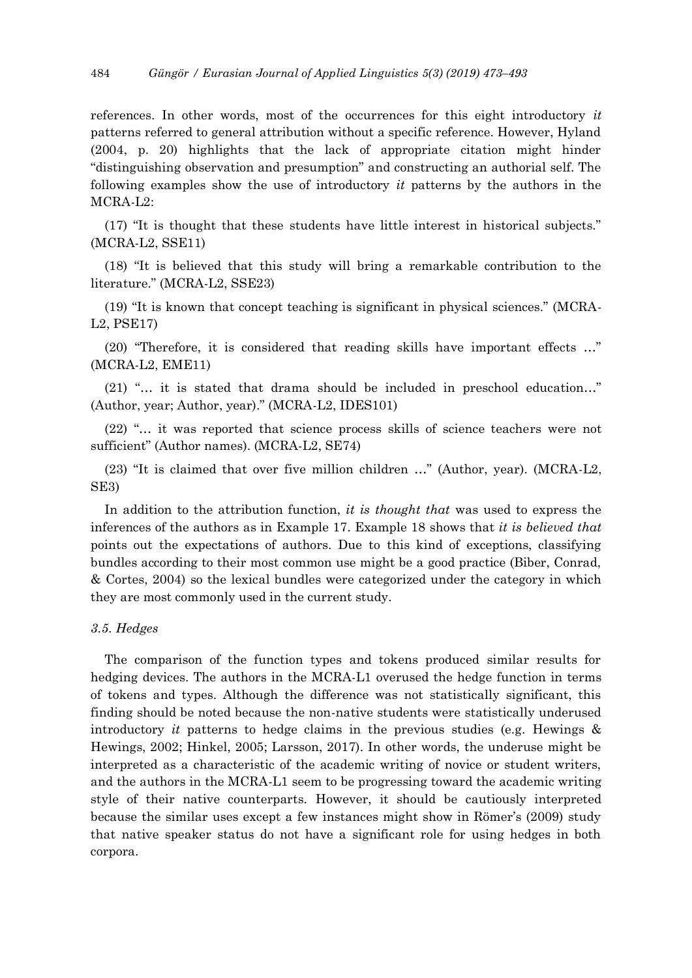references. In other words, most of the occurrences for this eight introductory *it* patterns referred to general attribution without a specific reference. However, Hyland (2004, p. 20) highlights that the lack of appropriate citation might hinder "distinguishing observation and presumption" and constructing an authorial self. The following examples show the use of introductory *it* patterns by the authors in the MCRA-L2:

(17) "It is thought that these students have little interest in historical subjects." (MCRA-L2, SSE11)

(18) "It is believed that this study will bring a remarkable contribution to the literature." (MCRA-L2, SSE23)

(19) "It is known that concept teaching is significant in physical sciences." (MCRA-L2, PSE17)

(20) "Therefore, it is considered that reading skills have important effects …" (MCRA-L2, EME11)

(21) "… it is stated that drama should be included in preschool education…" (Author, year; Author, year)." (MCRA-L2, IDES101)

(22) "… it was reported that science process skills of science teachers were not sufficient" (Author names). (MCRA-L2, SE74)

(23) "It is claimed that over five million children …" (Author, year). (MCRA-L2, SE3)

In addition to the attribution function, *it is thought that* was used to express the inferences of the authors as in Example 17. Example 18 shows that *it is believed that* points out the expectations of authors. Due to this kind of exceptions, classifying bundles according to their most common use might be a good practice (Biber, Conrad, & Cortes, 2004) so the lexical bundles were categorized under the category in which they are most commonly used in the current study.

## *3.5. Hedges*

The comparison of the function types and tokens produced similar results for hedging devices. The authors in the MCRA-L1 overused the hedge function in terms of tokens and types. Although the difference was not statistically significant, this finding should be noted because the non-native students were statistically underused introductory *it* patterns to hedge claims in the previous studies (e.g. Hewings & Hewings, 2002; Hinkel, 2005; Larsson, 2017). In other words, the underuse might be interpreted as a characteristic of the academic writing of novice or student writers, and the authors in the MCRA-L1 seem to be progressing toward the academic writing style of their native counterparts. However, it should be cautiously interpreted because the similar uses except a few instances might show in Römer's (2009) study that native speaker status do not have a significant role for using hedges in both corpora.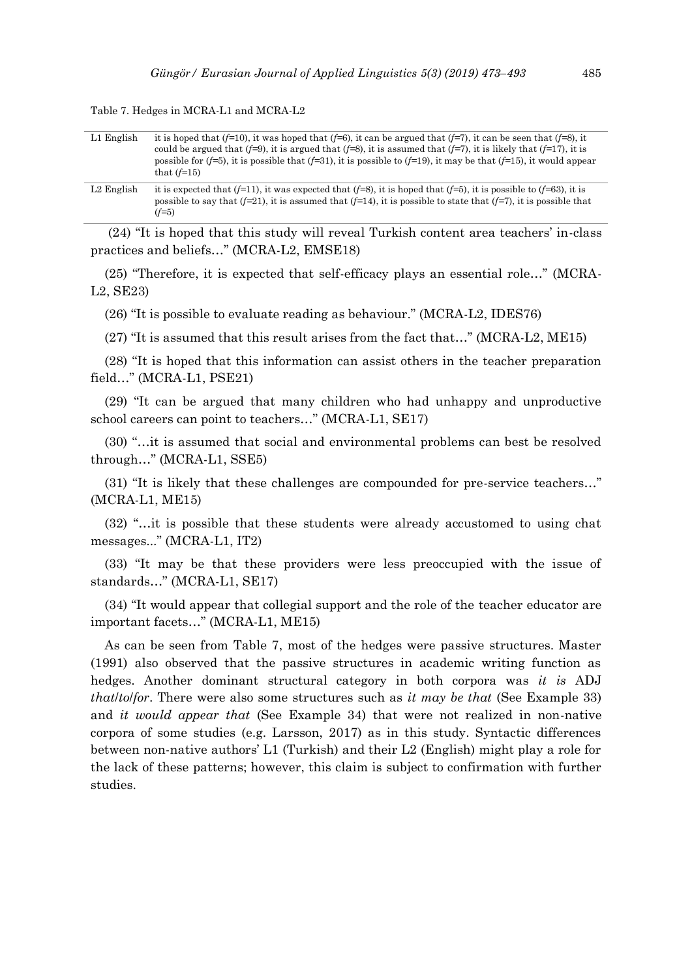| L1 English   | it is hoped that ( $f=10$ ), it was hoped that ( $f=6$ ), it can be argued that ( $f=7$ ), it can be seen that ( $f=8$ ), it<br>could be argued that (f=9), it is argued that (f=8), it is assumed that (f=7), it is likely that (f=17), it is<br>possible for (f=5), it is possible that (f=31), it is possible to (f=19), it may be that (f=15), it would appear<br>that $(f=15)$ |
|--------------|-------------------------------------------------------------------------------------------------------------------------------------------------------------------------------------------------------------------------------------------------------------------------------------------------------------------------------------------------------------------------------------|
| $L2$ English | it is expected that $(f=11)$ , it was expected that $(f=8)$ , it is hoped that $(f=5)$ , it is possible to $(f=63)$ , it is<br>possible to say that $(f=21)$ , it is assumed that $(f=14)$ , it is possible to state that $(f=7)$ , it is possible that<br>$(f=5)$                                                                                                                  |

Table 7. Hedges in MCRA-L1 and MCRA-L2

(24) "It is hoped that this study will reveal Turkish content area teachers' in-class practices and beliefs…" (MCRA-L2, EMSE18)

(25) "Therefore, it is expected that self-efficacy plays an essential role…" (MCRA-L2, SE23)

(26) "It is possible to evaluate reading as behaviour." (MCRA-L2, IDES76)

(27) "It is assumed that this result arises from the fact that…" (MCRA-L2, ME15)

(28) "It is hoped that this information can assist others in the teacher preparation field…" (MCRA-L1, PSE21)

(29) "It can be argued that many children who had unhappy and unproductive school careers can point to teachers…" (MCRA-L1, SE17)

(30) "…it is assumed that social and environmental problems can best be resolved through…" (MCRA-L1, SSE5)

(31) "It is likely that these challenges are compounded for pre-service teachers…" (MCRA-L1, ME15)

(32) "…it is possible that these students were already accustomed to using chat messages..." (MCRA-L1, IT2)

(33) "It may be that these providers were less preoccupied with the issue of standards…" (MCRA-L1, SE17)

(34) "It would appear that collegial support and the role of the teacher educator are important facets…" (MCRA-L1, ME15)

As can be seen from Table 7, most of the hedges were passive structures. Master (1991) also observed that the passive structures in academic writing function as hedges. Another dominant structural category in both corpora was *it is* ADJ *that*/*to*/*for*. There were also some structures such as *it may be that* (See Example 33) and *it would appear that* (See Example 34) that were not realized in non-native corpora of some studies (e.g. Larsson, 2017) as in this study. Syntactic differences between non-native authors' L1 (Turkish) and their L2 (English) might play a role for the lack of these patterns; however, this claim is subject to confirmation with further studies.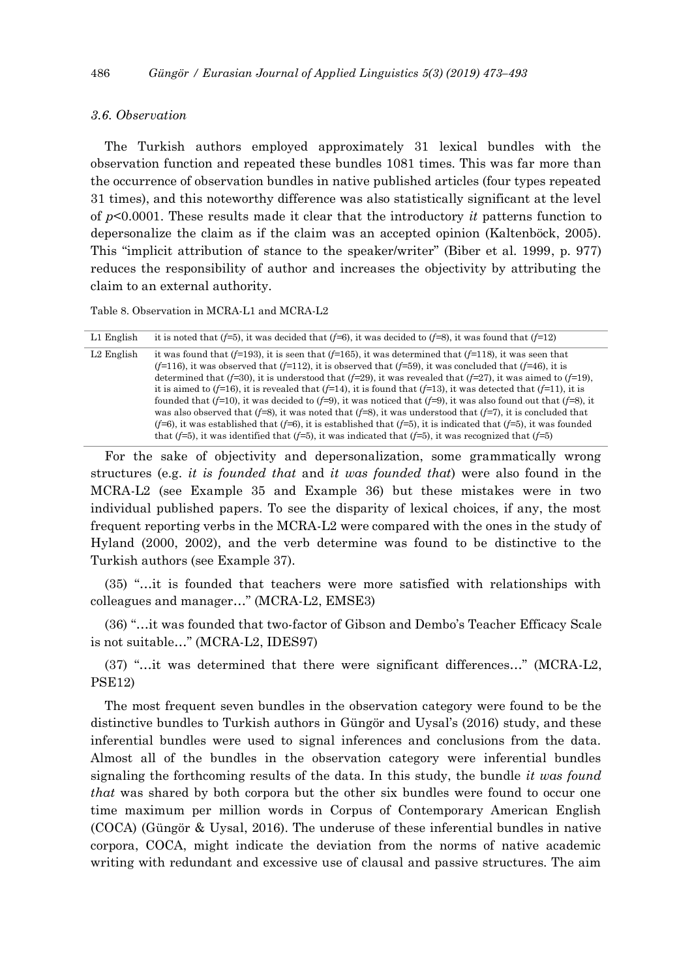## *3.6. Observation*

The Turkish authors employed approximately 31 lexical bundles with the observation function and repeated these bundles 1081 times. This was far more than the occurrence of observation bundles in native published articles (four types repeated 31 times), and this noteworthy difference was also statistically significant at the level of *p*<0.0001. These results made it clear that the introductory *it* patterns function to depersonalize the claim as if the claim was an accepted opinion (Kaltenböck, 2005). This "implicit attribution of stance to the speaker/writer" (Biber et al. 1999, p. 977) reduces the responsibility of author and increases the objectivity by attributing the claim to an external authority.

Table 8. Observation in MCRA-L1 and MCRA-L2

| L1 English             | it is noted that ( $f=5$ ), it was decided that ( $f=6$ ), it was decided to ( $f=8$ ), it was found that ( $f=12$ )           |
|------------------------|--------------------------------------------------------------------------------------------------------------------------------|
| L <sub>2</sub> English | it was found that $(f=193)$ , it is seen that $(f=165)$ , it was determined that $(f=118)$ , it was seen that                  |
|                        | $(f=116)$ , it was observed that $(f=112)$ , it is observed that $(f=59)$ , it was concluded that $(f=46)$ , it is             |
|                        | determined that (f=30), it is understood that (f=29), it was revealed that (f=27), it was aimed to (f=19),                     |
|                        | it is aimed to ( $f=16$ ), it is revealed that ( $f=14$ ), it is found that ( $f=13$ ), it was detected that ( $f=11$ ), it is |
|                        | founded that ( $f=10$ ), it was decided to ( $f=9$ ), it was noticed that ( $f=9$ ), it was also found out that ( $f=8$ ), it  |
|                        | was also observed that ( $f=8$ ), it was noted that ( $f=8$ ), it was understood that ( $f=7$ ), it is concluded that          |
|                        | $(f=6)$ , it was established that $(f=6)$ , it is established that $(f=5)$ , it is indicated that $(f=5)$ , it was founded     |
|                        | that ( $f=5$ ), it was identified that ( $f=5$ ), it was indicated that ( $f=5$ ), it was recognized that ( $f=5$ )            |

For the sake of objectivity and depersonalization, some grammatically wrong structures (e.g. *it is founded that* and *it was founded that*) were also found in the MCRA-L2 (see Example 35 and Example 36) but these mistakes were in two individual published papers. To see the disparity of lexical choices, if any, the most frequent reporting verbs in the MCRA-L2 were compared with the ones in the study of Hyland (2000, 2002), and the verb determine was found to be distinctive to the Turkish authors (see Example 37).

(35) "…it is founded that teachers were more satisfied with relationships with colleagues and manager…" (MCRA-L2, EMSE3)

(36) "…it was founded that two-factor of Gibson and Dembo's Teacher Efficacy Scale is not suitable…" (MCRA-L2, IDES97)

(37) "…it was determined that there were significant differences…" (MCRA-L2, PSE12)

The most frequent seven bundles in the observation category were found to be the distinctive bundles to Turkish authors in Güngör and Uysal's (2016) study, and these inferential bundles were used to signal inferences and conclusions from the data. Almost all of the bundles in the observation category were inferential bundles signaling the forthcoming results of the data. In this study, the bundle *it was found that* was shared by both corpora but the other six bundles were found to occur one time maximum per million words in Corpus of Contemporary American English (COCA) (Güngör & Uysal, 2016). The underuse of these inferential bundles in native corpora, COCA, might indicate the deviation from the norms of native academic writing with redundant and excessive use of clausal and passive structures. The aim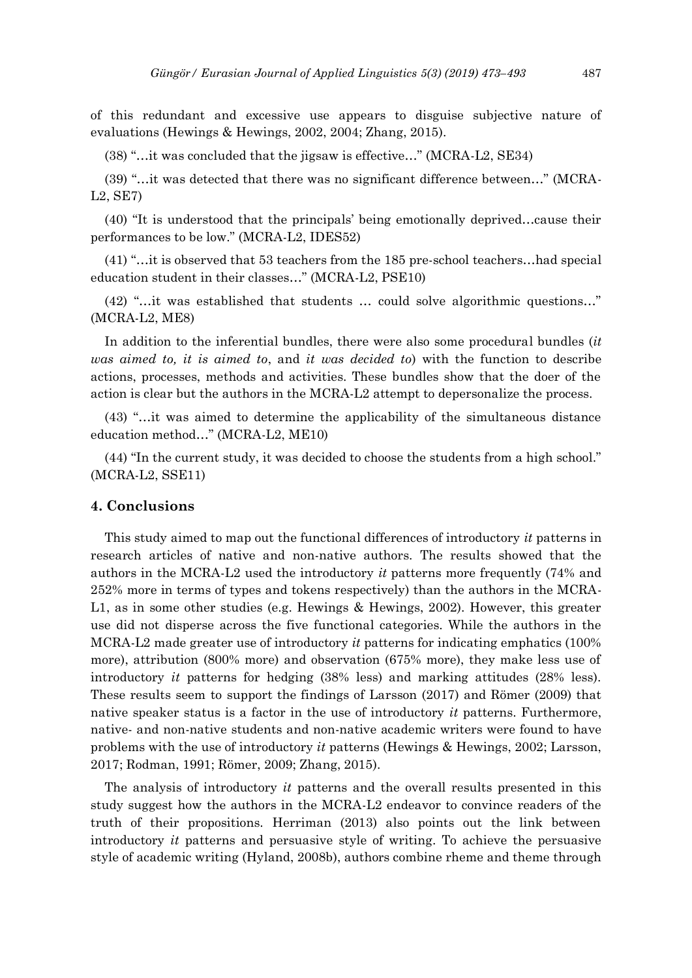of this redundant and excessive use appears to disguise subjective nature of evaluations (Hewings & Hewings, 2002, 2004; Zhang, 2015).

(38) "…it was concluded that the jigsaw is effective…" (MCRA-L2, SE34)

(39) "…it was detected that there was no significant difference between…" (MCRA-L2, SE7)

(40) "It is understood that the principals' being emotionally deprived…cause their performances to be low." (MCRA-L2, IDES52)

(41) "…it is observed that 53 teachers from the 185 pre-school teachers…had special education student in their classes…" (MCRA-L2, PSE10)

(42) "…it was established that students … could solve algorithmic questions…" (MCRA-L2, ME8)

In addition to the inferential bundles, there were also some procedural bundles (*it was aimed to, it is aimed to*, and *it was decided to*) with the function to describe actions, processes, methods and activities. These bundles show that the doer of the action is clear but the authors in the MCRA-L2 attempt to depersonalize the process.

(43) "…it was aimed to determine the applicability of the simultaneous distance education method…" (MCRA-L2, ME10)

(44) "In the current study, it was decided to choose the students from a high school." (MCRA-L2, SSE11)

## **4. Conclusions**

This study aimed to map out the functional differences of introductory *it* patterns in research articles of native and non-native authors. The results showed that the authors in the MCRA-L2 used the introductory *it* patterns more frequently (74% and 252% more in terms of types and tokens respectively) than the authors in the MCRA-L1, as in some other studies (e.g. Hewings & Hewings, 2002). However, this greater use did not disperse across the five functional categories. While the authors in the MCRA-L2 made greater use of introductory *it* patterns for indicating emphatics (100% more), attribution (800% more) and observation (675% more), they make less use of introductory *it* patterns for hedging (38% less) and marking attitudes (28% less). These results seem to support the findings of Larsson (2017) and Römer (2009) that native speaker status is a factor in the use of introductory *it* patterns. Furthermore, native- and non-native students and non-native academic writers were found to have problems with the use of introductory *it* patterns (Hewings & Hewings, 2002; Larsson, 2017; Rodman, 1991; Römer, 2009; Zhang, 2015).

The analysis of introductory *it* patterns and the overall results presented in this study suggest how the authors in the MCRA-L2 endeavor to convince readers of the truth of their propositions. Herriman (2013) also points out the link between introductory *it* patterns and persuasive style of writing. To achieve the persuasive style of academic writing (Hyland, 2008b), authors combine rheme and theme through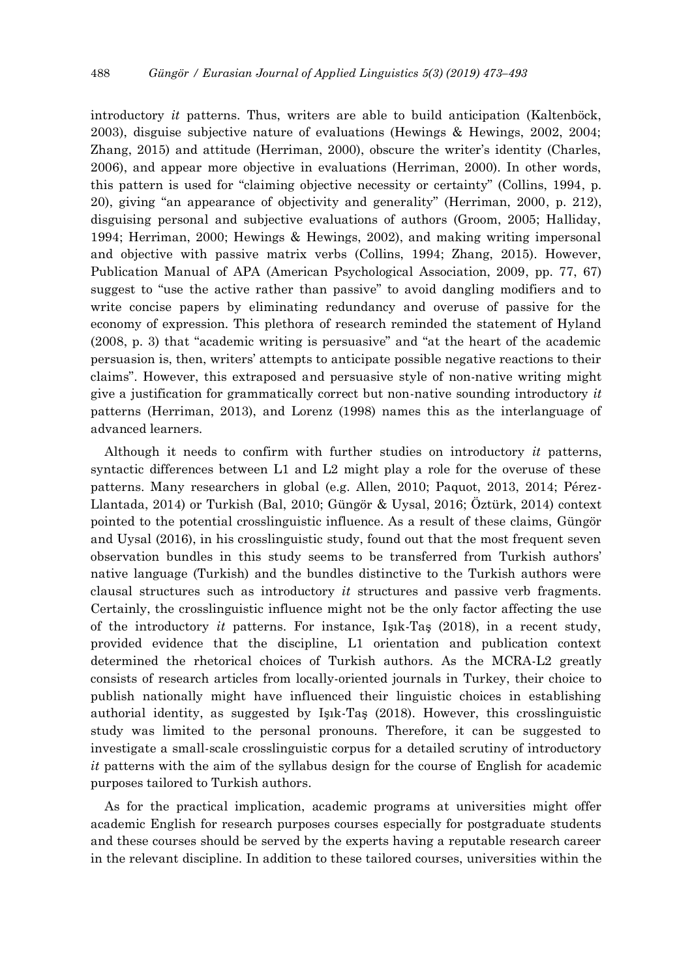introductory *it* patterns. Thus, writers are able to build anticipation (Kaltenböck, 2003), disguise subjective nature of evaluations (Hewings & Hewings, 2002, 2004; Zhang, 2015) and attitude (Herriman, 2000), obscure the writer's identity (Charles, 2006), and appear more objective in evaluations (Herriman, 2000). In other words, this pattern is used for "claiming objective necessity or certainty" (Collins, 1994, p. 20), giving "an appearance of objectivity and generality" (Herriman, 2000, p. 212), disguising personal and subjective evaluations of authors (Groom, 2005; Halliday, 1994; Herriman, 2000; Hewings & Hewings, 2002), and making writing impersonal and objective with passive matrix verbs (Collins, 1994; Zhang, 2015). However, Publication Manual of APA (American Psychological Association, 2009, pp. 77, 67) suggest to "use the active rather than passive" to avoid dangling modifiers and to write concise papers by eliminating redundancy and overuse of passive for the economy of expression. This plethora of research reminded the statement of Hyland (2008, p. 3) that "academic writing is persuasive" and "at the heart of the academic persuasion is, then, writers' attempts to anticipate possible negative reactions to their claims". However, this extraposed and persuasive style of non-native writing might give a justification for grammatically correct but non-native sounding introductory *it* patterns (Herriman, 2013), and Lorenz (1998) names this as the interlanguage of advanced learners.

Although it needs to confirm with further studies on introductory *it* patterns, syntactic differences between L1 and L2 might play a role for the overuse of these patterns. Many researchers in global (e.g. Allen, 2010; Paquot, 2013, 2014; Pérez-Llantada, 2014) or Turkish (Bal, 2010; Güngör & Uysal, 2016; Öztürk, 2014) context pointed to the potential crosslinguistic influence. As a result of these claims, Güngör and Uysal (2016), in his crosslinguistic study, found out that the most frequent seven observation bundles in this study seems to be transferred from Turkish authors' native language (Turkish) and the bundles distinctive to the Turkish authors were clausal structures such as introductory *it* structures and passive verb fragments. Certainly, the crosslinguistic influence might not be the only factor affecting the use of the introductory *it* patterns. For instance, Işık-Taş (2018), in a recent study, provided evidence that the discipline, L1 orientation and publication context determined the rhetorical choices of Turkish authors. As the MCRA-L2 greatly consists of research articles from locally-oriented journals in Turkey, their choice to publish nationally might have influenced their linguistic choices in establishing authorial identity, as suggested by Işık-Taş (2018). However, this crosslinguistic study was limited to the personal pronouns. Therefore, it can be suggested to investigate a small-scale crosslinguistic corpus for a detailed scrutiny of introductory *it* patterns with the aim of the syllabus design for the course of English for academic purposes tailored to Turkish authors.

As for the practical implication, academic programs at universities might offer academic English for research purposes courses especially for postgraduate students and these courses should be served by the experts having a reputable research career in the relevant discipline. In addition to these tailored courses, universities within the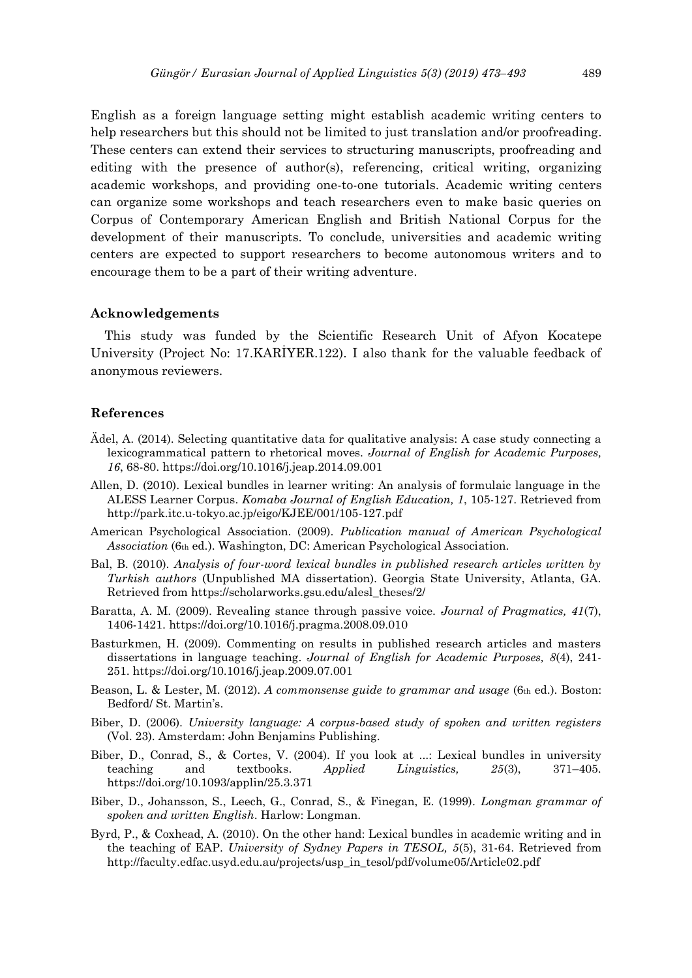English as a foreign language setting might establish academic writing centers to help researchers but this should not be limited to just translation and/or proofreading. These centers can extend their services to structuring manuscripts, proofreading and editing with the presence of author(s), referencing, critical writing, organizing academic workshops, and providing one-to-one tutorials. Academic writing centers can organize some workshops and teach researchers even to make basic queries on Corpus of Contemporary American English and British National Corpus for the development of their manuscripts. To conclude, universities and academic writing centers are expected to support researchers to become autonomous writers and to encourage them to be a part of their writing adventure.

## **Acknowledgements**

This study was funded by the Scientific Research Unit of Afyon Kocatepe University (Project No: 17.KARİYER.122). I also thank for the valuable feedback of anonymous reviewers.

## **References**

- Ädel, A. (2014). Selecting quantitative data for qualitative analysis: A case study connecting a lexicogrammatical pattern to rhetorical moves. *Journal of English for Academic Purposes, 16*, 68-80. https://doi.org/10.1016/j.jeap.2014.09.001
- Allen, D. (2010). Lexical bundles in learner writing: An analysis of formulaic language in the ALESS Learner Corpus. *Komaba Journal of English Education, 1*, 105-127. Retrieved from http://park.itc.u-tokyo.ac.jp/eigo/KJEE/001/105-127.pdf
- American Psychological Association. (2009). *Publication manual of American Psychological Association* (6th ed.). Washington, DC: American Psychological Association.
- Bal, B. (2010). *Analysis of four-word lexical bundles in published research articles written by Turkish authors* (Unpublished MA dissertation). Georgia State University, Atlanta, GA. Retrieved from https://scholarworks.gsu.edu/alesl\_theses/2/
- Baratta, A. M. (2009). Revealing stance through passive voice. *Journal of Pragmatics, 41*(7), 1406-1421. https://doi.org/10.1016/j.pragma.2008.09.010
- Basturkmen, H. (2009). Commenting on results in published research articles and masters dissertations in language teaching. *Journal of English for Academic Purposes, 8*(4), 241- 251. https://doi.org/10.1016/j.jeap.2009.07.001
- Beason, L. & Lester, M. (2012). *A commonsense guide to grammar and usage* (6th ed.). Boston: Bedford/ St. Martin's.
- Biber, D. (2006). *University language: A corpus-based study of spoken and written registers* (Vol. 23). Amsterdam: John Benjamins Publishing.
- Biber, D., Conrad, S., & Cortes, V. (2004). If you look at ...: Lexical bundles in university teaching and textbooks. *Applied Linguistics, 25*(3), 371–405. https://doi.org/10.1093/applin/25.3.371
- Biber, D., Johansson, S., Leech, G., Conrad, S., & Finegan, E. (1999). *Longman grammar of spoken and written English*. Harlow: Longman.
- Byrd, P., & Coxhead, A. (2010). On the other hand: Lexical bundles in academic writing and in the teaching of EAP. *University of Sydney Papers in TESOL, 5*(5), 31-64. Retrieved from http://faculty.edfac.usyd.edu.au/projects/usp\_in\_tesol/pdf/volume05/Article02.pdf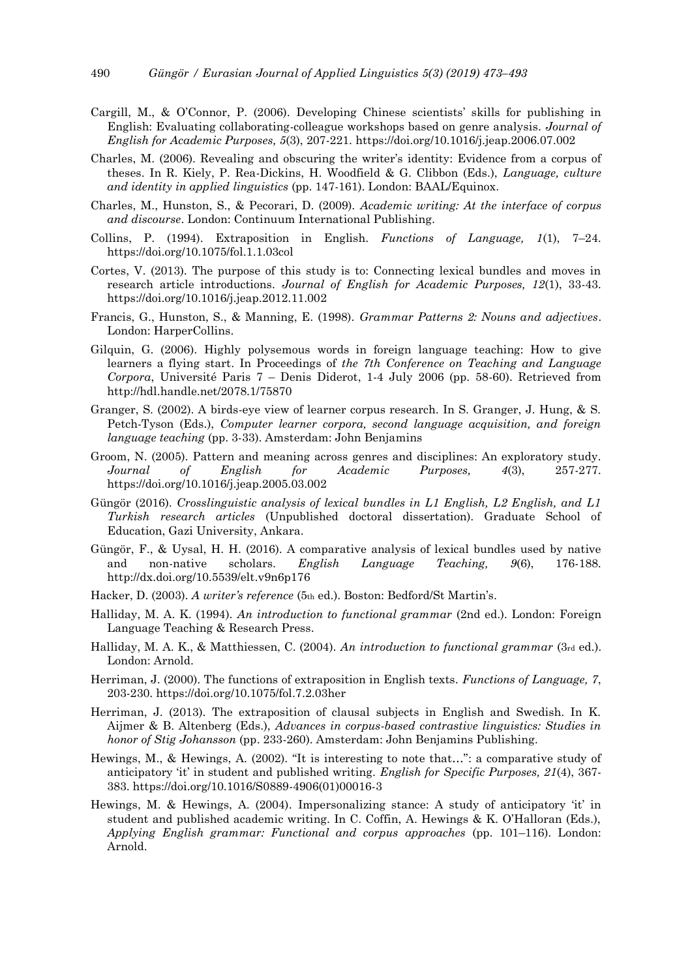- Cargill, M., & O'Connor, P. (2006). Developing Chinese scientists' skills for publishing in English: Evaluating collaborating-colleague workshops based on genre analysis. *Journal of English for Academic Purposes, 5*(3), 207-221. https://doi.org/10.1016/j.jeap.2006.07.002
- Charles, M. (2006). Revealing and obscuring the writer's identity: Evidence from a corpus of theses. In R. Kiely, P. Rea-Dickins, H. Woodfield & G. Clibbon (Eds.), *Language, culture and identity in applied linguistics* (pp. 147-161). London: BAAL/Equinox.
- Charles, M., Hunston, S., & Pecorari, D. (2009). *Academic writing: At the interface of corpus and discourse*. London: Continuum International Publishing.
- Collins, P. (1994). Extraposition in English. *Functions of Language, 1*(1), 7–24. https://doi.org/10.1075/fol.1.1.03col
- Cortes, V. (2013). The purpose of this study is to: Connecting lexical bundles and moves in research article introductions. *Journal of English for Academic Purposes, 12*(1), 33-43. https://doi.org/10.1016/j.jeap.2012.11.002
- Francis, G., Hunston, S., & Manning, E. (1998). *Grammar Patterns 2: Nouns and adjectives*. London: HarperCollins.
- Gilquin, G. (2006). Highly polysemous words in foreign language teaching: How to give learners a flying start. In Proceedings of *the 7th Conference on Teaching and Language Corpora*, Université Paris 7 – Denis Diderot, 1-4 July 2006 (pp. 58-60). Retrieved from http://hdl.handle.net/2078.1/75870
- Granger, S. (2002). A birds-eye view of learner corpus research. In S. Granger, J. Hung, & S. Petch-Tyson (Eds.), *Computer learner corpora, second language acquisition, and foreign language teaching* (pp. 3-33). Amsterdam: John Benjamins
- Groom, N. (2005). Pattern and meaning across genres and disciplines: An exploratory study. *Journal of English for Academic Purposes, 4*(3), 257-277. https://doi.org/10.1016/j.jeap.2005.03.002
- Güngör (2016). *Crosslinguistic analysis of lexical bundles in L1 English, L2 English, and L1 Turkish research articles* (Unpublished doctoral dissertation). Graduate School of Education, Gazi University, Ankara.
- Güngör, F., & Uysal, H. H. (2016). A comparative analysis of lexical bundles used by native and non-native scholars. *English Language Teaching, 9*(6), 176-188. http://dx.doi.org/10.5539/elt.v9n6p176
- Hacker, D. (2003). *A writer's reference* (5th ed.). Boston: Bedford/St Martin's.
- Halliday, M. A. K. (1994). *An introduction to functional grammar* (2nd ed.). London: Foreign Language Teaching & Research Press.
- Halliday, M. A. K., & Matthiessen, C. (2004). *An introduction to functional grammar* (3rd ed.). London: Arnold.
- Herriman, J. (2000). The functions of extraposition in English texts. *Functions of Language, 7*, 203-230. https://doi.org/10.1075/fol.7.2.03her
- Herriman, J. (2013). The extraposition of clausal subjects in English and Swedish. In K. Aijmer & B. Altenberg (Eds.), *Advances in corpus-based contrastive linguistics: Studies in honor of Stig Johansson* (pp. 233-260). Amsterdam: John Benjamins Publishing.
- Hewings, M., & Hewings, A. (2002). "It is interesting to note that…": a comparative study of anticipatory 'it' in student and published writing. *English for Specific Purposes, 21*(4), 367- 383. https://doi.org/10.1016/S0889-4906(01)00016-3
- Hewings, M. & Hewings, A. (2004). Impersonalizing stance: A study of anticipatory 'it' in student and published academic writing. In C. Coffin, A. Hewings & K. O'Halloran (Eds.), *Applying English grammar: Functional and corpus approaches* (pp. 101–116). London: Arnold.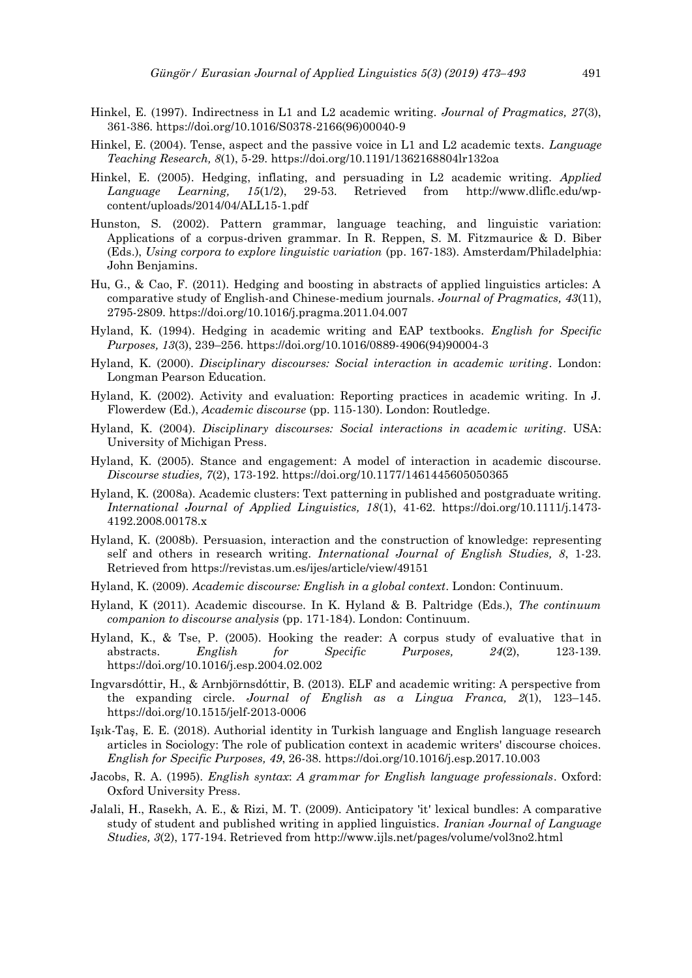- Hinkel, E. (1997). Indirectness in L1 and L2 academic writing. *Journal of Pragmatics, 27*(3), 361-386. https://doi.org/10.1016/S0378-2166(96)00040-9
- Hinkel, E. (2004). Tense, aspect and the passive voice in L1 and L2 academic texts. *Language Teaching Research, 8*(1), 5-29. https://doi.org/10.1191/1362168804lr132oa
- Hinkel, E. (2005). Hedging, inflating, and persuading in L2 academic writing. *Applied Language Learning, 15*(1/2), 29-53. Retrieved from http://www.dliflc.edu/wpcontent/uploads/2014/04/ALL15-1.pdf
- Hunston, S. (2002). Pattern grammar, language teaching, and linguistic variation: Applications of a corpus-driven grammar. In R. Reppen, S. M. Fitzmaurice & D. Biber (Eds.), *Using corpora to explore linguistic variation* (pp. 167-183). Amsterdam/Philadelphia: John Benjamins.
- Hu, G., & Cao, F. (2011). Hedging and boosting in abstracts of applied linguistics articles: A comparative study of English-and Chinese-medium journals. *Journal of Pragmatics, 43*(11), 2795-2809. https://doi.org/10.1016/j.pragma.2011.04.007
- Hyland, K. (1994). Hedging in academic writing and EAP textbooks. *English for Specific Purposes, 13*(3), 239–256. https://doi.org/10.1016/0889-4906(94)90004-3
- Hyland, K. (2000). *Disciplinary discourses: Social interaction in academic writing*. London: Longman Pearson Education.
- Hyland, K. (2002). Activity and evaluation: Reporting practices in academic writing. In J. Flowerdew (Ed.), *Academic discourse* (pp. 115-130). London: Routledge.
- Hyland, K. (2004). *Disciplinary discourses: Social interactions in academic writing*. USA: University of Michigan Press.
- Hyland, K. (2005). Stance and engagement: A model of interaction in academic discourse. *Discourse studies, 7*(2), 173-192. https://doi.org/10.1177/1461445605050365
- Hyland, K. (2008a). Academic clusters: Text patterning in published and postgraduate writing. *International Journal of Applied Linguistics, 18*(1), 41-62. https://doi.org/10.1111/j.1473- 4192.2008.00178.x
- Hyland, K. (2008b). Persuasion, interaction and the construction of knowledge: representing self and others in research writing. *International Journal of English Studies, 8*, 1-23. Retrieved from https://revistas.um.es/ijes/article/view/49151
- Hyland, K. (2009). *Academic discourse: English in a global context*. London: Continuum.
- Hyland, K (2011). Academic discourse. In K. Hyland & B. Paltridge (Eds.), *The continuum companion to discourse analysis* (pp. 171-184). London: Continuum.
- Hyland, K., & Tse, P. (2005). Hooking the reader: A corpus study of evaluative that in abstracts. *English for Specific Purposes, 24*(2), 123-139. https://doi.org/10.1016/j.esp.2004.02.002
- Ingvarsdóttir, H., & Arnbjörnsdóttir, B. (2013). ELF and academic writing: A perspective from the expanding circle. *Journal of English as a Lingua Franca, 2*(1), 123–145. https://doi.org/10.1515/jelf-2013-0006
- Işık-Taş, E. E. (2018). Authorial identity in Turkish language and English language research articles in Sociology: The role of publication context in academic writers' discourse choices. *English for Specific Purposes, 49*, 26-38. https://doi.org/10.1016/j.esp.2017.10.003
- Jacobs, R. A. (1995). *English syntax*: *A grammar for English language professionals*. Oxford: Oxford University Press.
- Jalali, H., Rasekh, A. E., & Rizi, M. T. (2009). Anticipatory 'it' lexical bundles: A comparative study of student and published writing in applied linguistics. *Iranian Journal of Language Studies, 3*(2), 177-194. Retrieved from http://www.ijls.net/pages/volume/vol3no2.html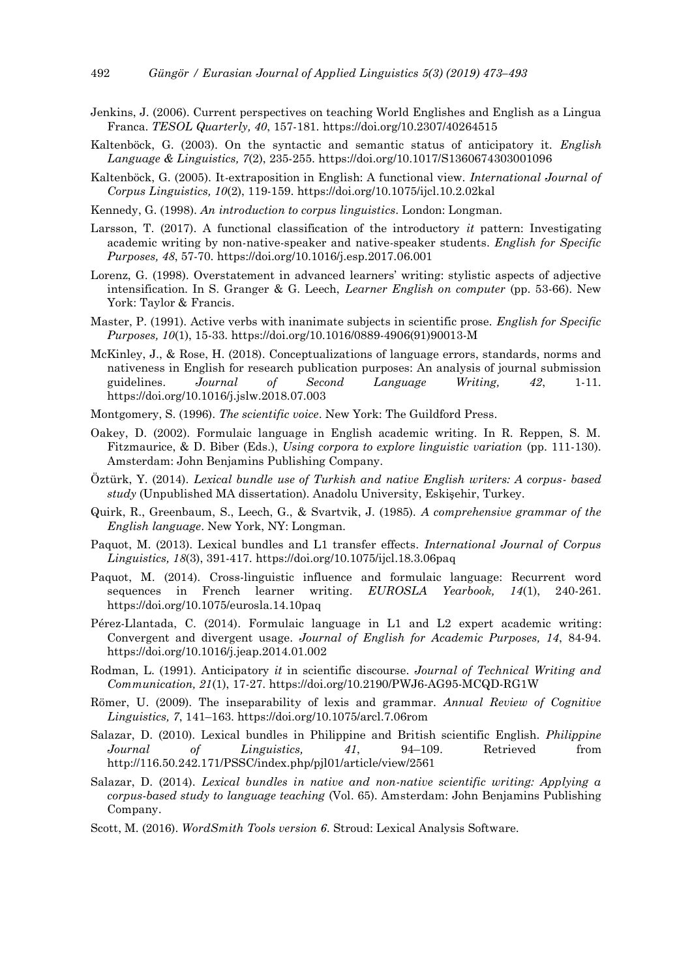- Jenkins, J. (2006). Current perspectives on teaching World Englishes and English as a Lingua Franca. *TESOL Quarterly, 40*, 157-181. https://doi.org/10.2307/40264515
- Kaltenböck, G. (2003). On the syntactic and semantic status of anticipatory it. *English Language & Linguistics, 7*(2), 235-255. https://doi.org/10.1017/S1360674303001096
- Kaltenböck, G. (2005). It-extraposition in English: A functional view. *International Journal of Corpus Linguistics, 10*(2), 119-159. https://doi.org/10.1075/ijcl.10.2.02kal
- Kennedy, G. (1998). *An introduction to corpus linguistics*. London: Longman.
- Larsson, T. (2017). A functional classification of the introductory *it* pattern: Investigating academic writing by non-native-speaker and native-speaker students. *English for Specific Purposes, 48*, 57-70. https://doi.org/10.1016/j.esp.2017.06.001
- Lorenz, G. (1998). Overstatement in advanced learners' writing: stylistic aspects of adjective intensification. In S. Granger & G. Leech, *Learner English on computer* (pp. 53-66). New York: Taylor & Francis.
- Master, P. (1991). Active verbs with inanimate subjects in scientific prose. *English for Specific Purposes, 10*(1), 15-33. https://doi.org/10.1016/0889-4906(91)90013-M
- McKinley, J., & Rose, H. (2018). Conceptualizations of language errors, standards, norms and nativeness in English for research publication purposes: An analysis of journal submission guidelines. *Journal of Second Language Writing, 42*, 1-11. https://doi.org/10.1016/j.jslw.2018.07.003
- Montgomery, S. (1996). *The scientific voice*. New York: The Guildford Press.
- Oakey, D. (2002). Formulaic language in English academic writing. In R. Reppen, S. M. Fitzmaurice, & D. Biber (Eds.), *Using corpora to explore linguistic variation* (pp. 111-130). Amsterdam: John Benjamins Publishing Company.
- Öztürk, Y. (2014). *Lexical bundle use of Turkish and native English writers: A corpus- based study* (Unpublished MA dissertation). Anadolu University, Eskişehir, Turkey.
- Quirk, R., Greenbaum, S., Leech, G., & Svartvik, J. (1985). *A comprehensive grammar of the English language*. New York, NY: Longman.
- Paquot, M. (2013). Lexical bundles and L1 transfer effects. *International Journal of Corpus Linguistics, 18*(3), 391-417. https://doi.org/10.1075/ijcl.18.3.06paq
- Paquot, M. (2014). Cross-linguistic influence and formulaic language: Recurrent word sequences in French learner writing. *EUROSLA Yearbook, 14*(1), 240-261. https://doi.org/10.1075/eurosla.14.10paq
- Pérez-Llantada, C. (2014). Formulaic language in L1 and L2 expert academic writing: Convergent and divergent usage. *Journal of English for Academic Purposes, 14*, 84-94. https://doi.org/10.1016/j.jeap.2014.01.002
- Rodman, L. (1991). Anticipatory *it* in scientific discourse. *Journal of Technical Writing and Communication, 21*(1), 17-27. https://doi.org/10.2190/PWJ6-AG95-MCQD-RG1W
- Römer, U. (2009). The inseparability of lexis and grammar. *Annual Review of Cognitive Linguistics, 7*, 141–163. https://doi.org/10.1075/arcl.7.06rom
- Salazar, D. (2010). Lexical bundles in Philippine and British scientific English. *Philippine Journal of Linguistics, 41*, 94–109. Retrieved from http://116.50.242.171/PSSC/index.php/pjl01/article/view/2561
- Salazar, D. (2014). *Lexical bundles in native and non-native scientific writing: Applying a corpus-based study to language teaching* (Vol. 65). Amsterdam: John Benjamins Publishing Company.
- Scott, M. (2016). *WordSmith Tools version 6*. Stroud: Lexical Analysis Software.